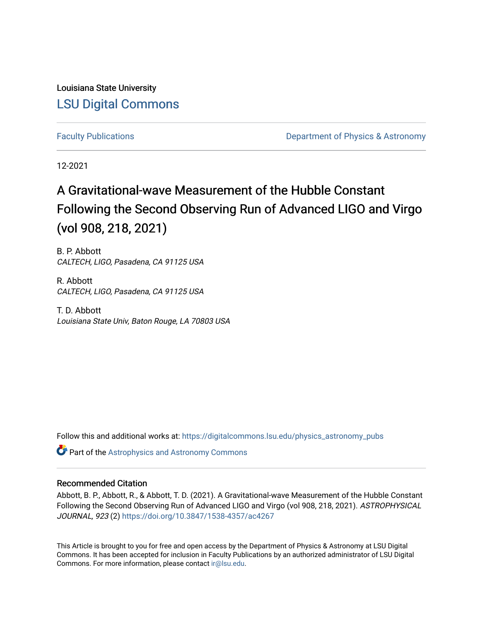Louisiana State University [LSU Digital Commons](https://digitalcommons.lsu.edu/)

[Faculty Publications](https://digitalcommons.lsu.edu/physics_astronomy_pubs) **Exercise 2 and Table 2 and Table 2 and Table 2 and Table 2 and Table 2 and Table 2 and Table 2 and Table 2 and Table 2 and Table 2 and Table 2 and Table 2 and Table 2 and Table 2 and Table 2 and Table** 

12-2021

# A Gravitational-wave Measurement of the Hubble Constant Following the Second Observing Run of Advanced LIGO and Virgo (vol 908, 218, 2021)

B. P. Abbott CALTECH, LIGO, Pasadena, CA 91125 USA

R. Abbott CALTECH, LIGO, Pasadena, CA 91125 USA

T. D. Abbott Louisiana State Univ, Baton Rouge, LA 70803 USA

Follow this and additional works at: [https://digitalcommons.lsu.edu/physics\\_astronomy\\_pubs](https://digitalcommons.lsu.edu/physics_astronomy_pubs?utm_source=digitalcommons.lsu.edu%2Fphysics_astronomy_pubs%2F5017&utm_medium=PDF&utm_campaign=PDFCoverPages) 

**C** Part of the Astrophysics and Astronomy Commons

# Recommended Citation

Abbott, B. P., Abbott, R., & Abbott, T. D. (2021). A Gravitational-wave Measurement of the Hubble Constant Following the Second Observing Run of Advanced LIGO and Virgo (vol 908, 218, 2021). ASTROPHYSICAL JOURNAL, 923 (2) <https://doi.org/10.3847/1538-4357/ac4267>

This Article is brought to you for free and open access by the Department of Physics & Astronomy at LSU Digital Commons. It has been accepted for inclusion in Faculty Publications by an authorized administrator of LSU Digital Commons. For more information, please contact [ir@lsu.edu](mailto:ir@lsu.edu).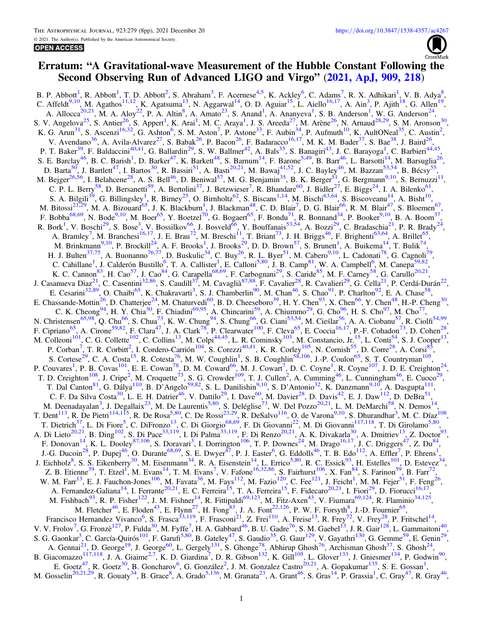

# Erratum: "A Gravitational-wave Measurement of the Hubble Constant Following the Second Observing Run of Advanced LIGO and Virgo" (2021, ApJ, 909, 218)

B. P. Abbott<sup>1</sup>, R. Abbott<sup>1</sup>, T. D. Abbott<sup>2</sup>, S. Abraham<sup>3</sup>, F. Acernese<sup>4,5</sup>, K. Ackley<sup>6</sup>, C. Adams<sup>7</sup>, R. X. Adhikari<sup>1</sup>, V. B. Adya<sup>8</sup>, C. Affeldt<sup>9,10</sup>, M. Agathos<sup>11,12</sup>, K. Agatsuma<sup>13</sup>, N. Aggarwal<sup>14</sup>, O. D. Aguiar<sup>15</sup>, L. Aiello<sup>16,17</sup>, A. Ain<sup>3</sup>, P. Ajith<sup>18</sup>, G. Allen<sup>1</sup><br>A. Allocca<sup>20,21</sup>, M. A. Aloy<sup>22</sup>, P. A. Altin<sup>8</sup>, A. Amato<sup>23</sup>, S. Anand<sup>1</sup>, S. V. Angelova<sup>25</sup>, S. Antier<sup>26</sup>, S. Appert<sup>1</sup>, K. Arai<sup>1</sup>, M. C. Araya<sup>1</sup>, J. S. Areeda<sup>27</sup>, M. Arène<sup>26</sup>, N. Arnaud<sup>28,29</sup>, S. M. Aronson<sup>30</sup><br>K. G. Arun<sup>31</sup>, S. Ascenzi<sup>16,32</sup>, G. Ashton<sup>6</sup>, S. M. Aston<sup>7</sup>, P. Astone<sup>3</sup> P. T. Baker<sup>39</sup>, F. Baldaccini<sup>40,41</sup>, G. Ballardin<sup>29</sup>, S. W. Ballmer<sup>42</sup>, A. Bals<sup>35</sup>, S. Banagiri<sup>43</sup>, J. C. Barayoga<sup>1</sup>, C. Barbieri<sup>44,45</sup> S. E. Barclay<sup>46</sup>, B. C. Barish<sup>1</sup>, D. Barker<sup>47</sup>, K. Barkett<sup>48</sup>, S. Barnum<sup>14</sup>, F. Barone<sup>5,49</sup>, B. Barr<sup>46</sup>, L. Barsotti<sup>14</sup>, M. Barsuglia<sup>26</sup>, S. E. Barcay , B. C. Barsh, D. Barker , K. Barkett , S. Barnum , F. Barone , B. Barr , L. Barsout , M. Barsugna<br>D. Barta<sup>50</sup>, J. Bartlett<sup>47</sup>, I. Bartos<sup>30</sup>, R. Bassiri<sup>51</sup>, A. Basti<sup>20,21</sup>, M. Bawaj<sup>41,52</sup>, J. C. Bayley<sup></sup> S. A. Bilgili<sup>39</sup>, G. Billingsley<sup>1</sup>, R. Birney<sup>25</sup>, O. Birnholtz<sup>62</sup>, S. Biscans<sup>1,14</sup>, M. Bischi<sup>63,64</sup>, S. Biscoveanu<sup>14</sup>, A. Bisht<sup>10</sup>, M. Bitossi<sup>21,29</sup>, M. A. Bizouard<sup>65</sup>, J. K. Blackburn<sup>1</sup>, J. Blackman<sup>48</sup>, C. D. Blair<sup>7</sup>, D. G. Blair<sup>66</sup>, R. M. Blair<sup>47</sup>, S. Bloemen<sup>67</sup>, F. Bobba<sup>68,69</sup>, N. Bode<sup>9,10</sup>, M. Boer<sup>65</sup>, Y. Boetzel<sup>70</sup>, G. Boggaert<sup>65</sup>, F R. Bork<sup>1</sup>, V. Boschi<sup>29</sup>, S. Bose<sup>3</sup>, V. Bossilkov<sup>66</sup>, J. Bosveld<sup>66</sup>, Y. Bouffanais<sup>53,54</sup>, A. Bozzi<sup>29</sup>, C. Bradaschia<sup>21</sup>, P. R. Brady<sup>24</sup>, A. Bramley<sup>7</sup>, M. Branchesi<sup>16,17</sup>, J. E. Brau<sup>72</sup>, M. Breschi<sup>11</sup>, T. Briant<sup>73</sup>, J. H. Briggs<sup>46</sup>, F. Brighenti<sup>63,64</sup>, A. Brillet<sup>65</sup>,<br>M. Brinkmann<sup>9,10</sup>, P. Brockill<sup>24</sup>, A. F. Brooks<sup>1</sup>, J. Brooks<sup>29</sup>, D. D. Brown<sup>57</sup> Fr. J. Buten , A. Buonamo , D. Buskutte , C. Buy , R. L. Byer , M. Cabero , L. Cadonatt , G. Cagnon ,<br>C. Cahillane<sup>1</sup>, J. Calderón Bustillo<sup>6</sup>, T. A. Callister<sup>1</sup>, E. Calloni<sup>5,80</sup>, J. B. Camp<sup>81</sup>, W. A. Campbell<sup>6</sup>, M. C E. Chassande-Mottin<sup>26</sup>, D. Chatterjee<sup>24</sup>, M. Chaturvedi<sup>60</sup>, B. D. Cheeseboro<sup>39</sup>, H. Y. Chen<sup>93</sup>, X. Chen<sup>66</sup>, Y. Chen<sup>48</sup>, H.-P. Cheng<sup>30</sup>, E. Chassance From (B. Chanterjee, F. Charles 1, B. D. Checkooloon, F. F. Charles 1, A. Chennel, F. Chennel, F. Chennel, C. K. Chennel, H. Y. Chia<sup>30</sup>, H. Y. Chia<sup>30</sup>, F. Chiadini<sup>69,95</sup>, A. Chincarini<sup>59</sup>, A. Chinamin<sup>59</sup> F. Cipriano<sup>1</sup>, A. Chone<sup>1</sup>, F. Ciana<sup>1</sup>, J. A. Clark<sup>1</sup>, F. Cleanwater 1, F. Cleva<sup>1</sup>, E. Coccia<sup>1</sup>, F. F. Condation<sup>1</sup>, D. Conen<sup>13</sup>,<br>M. Colleoni<sup>101</sup>, C. G. Collette<sup>102</sup>, C. Collins<sup>13</sup>, M. Colpi<sup>44,45</sup>, L. R. Cominsk T. D. Creighton<sup>108</sup>, J. Cripe<sup>2</sup>, M. Croquette<sup>73</sup>, S. G. Crowder<sup>109</sup>, T. J. Cullen<sup>2</sup>, A. Cumming<sup>46</sup>, L. Cunningham<sup>46</sup>, E. Cuoco<sup>29</sup>, T. Dal Canton<sup>81</sup>, G. Dálya<sup>110</sup>, B. D'Angelo<sup>59,82</sup>, S. L. Danilishin<sup>9,10</sup>, S. D'Antonio<sup>32</sup>, K. Danzmann<sup>9,10</sup>, A. Dasgupta<sup>111</sup>, C. F. Da Silva Costa<sup>30</sup>, L. E. H. Datrier<sup>46</sup>, V. Dattilo<sup>29</sup>, I. Dave<sup>60</sup>, M. Davier<sup>2</sup> C. F. Da Silva Costa , L. E. H. Datter , V. Dattilo , I. Dave , M. Daver , D. Davis , E. J. Daw , D. DeBra<sup>-1</sup>,<br>M. Deenadayalan<sup>3</sup>, J. Degallaix<sup>23</sup>, M. De Laurentis<sup>5,80</sup>, S. Deléglise<sup>73</sup>, W. Del Pozzo<sup>20,21</sup>, L. M. DeM J.-G. Ducoin<sup>28</sup>, P. Dupej<sup>46</sup>, O. Durante<sup>68,69</sup>, S. E. Dwyer<sup>47</sup>, P. J. Easter<sup>6</sup>, G. Eddolls<sup>46</sup>, T. B. Edo<sup>112</sup>, A. Effler<sup>7</sup>, P. Ehrens<sup>1</sup>, J. Eichholz<sup>8</sup>, S. S. Eikenberry<sup>30</sup>, M. Eisenmann<sup>34</sup>, R. A. Eisenstein<sup>14</sup>, L. Errico<sup>5,80</sup>, R. C. Essick<sup>93</sup>, H. Estelles<sup>101</sup>, D. Estevez<sup>34</sup>,<br>Z. B. Etienne<sup>39</sup>, T. Etzel<sup>1</sup>, M. Evans<sup>14</sup>, T. M. Evans<sup>7</sup>, V. Fafone<sup>16</sup> W. M. Farr<sup>13</sup>, E. J. Fauchon-Jones<sup>106</sup>, M. Favata<sup>36</sup>, M. Fays<sup>112</sup>, M. Fazio<sup>120</sup>, C. Fee<sup>121</sup>, J. Feicht<sup>1</sup>, M. M. Fejer<sup>51</sup>, F. Feng<sup>26</sup>, A. Fernandez-Galiana<sup>14</sup>, I. Ferrante<sup>20,21</sup>, E. C. Ferreira<sup>15</sup>, T. A. Ferreira<sup>15</sup>, F. Fidecaro<sup>20,21</sup>, I. Fiori<sup>29</sup>, D. Fiorucci<sup>16,17</sup>, M. Fishbach<sup>93</sup>, R. P. Fisher<sup>122</sup>, J. M. Fishmer<sup>14</sup>, R. Fittipaldi<sup>69,123</sup>, M. Francisco Hernandez Vivanco<sup>6</sup>, S. Frasca<sup>33,119</sup>, F. Frasconi<sup>21</sup>, Z. Frei<sup>110</sup>, A. Freise<sup>13</sup>, R. Frey<sup>72</sup>, V. Frey<sup>28</sup>, P. Fritschel<sup>14</sup>,<br>V. V. Frolov<sup>7</sup>, G. Fronzè<sup>127</sup>, P. Fulda<sup>30</sup>, M. Fyffe<sup>7</sup>, H. A. Gabbard<sup>46</sup>, B A. Gennai<sup>21</sup>, D. George<sup>19</sup>, J. George<sup>60</sup>, L. Gergely<sup>131</sup>, S. Ghonge<sup>78</sup>, Abhirup Ghosh<sup>76</sup>, Archisman Ghosh<sup>37</sup>, S. Ghosh<sup>24</sup>, B. Giacomazzo<sup>117,118</sup>, J. A. Giaime<sup>2,7</sup>, K. D. Giardina<sup>7</sup>, D. R. Gibson<sup>132</sup>, K. Gill<sup>105</sup>, L. Glover<sup>133</sup>, J. Gniesmer<sup>134</sup>, P. Godwin<sup>9</sup><br>E. Goetz<sup>47</sup>, R. Goetz<sup>30</sup>, B. Goncharov<sup>6</sup>, G. González<sup>2</sup>, J. M. Gonzalez Cas M. Gosselin<sup>20,21,29</sup>, R. Gouaty<sup>34</sup>, B. Grace<sup>8</sup>, A. Grado<sup>5,136</sup>, M. Granata<sup>23</sup>, A. Grant<sup>46</sup>, S. Gras<sup>14</sup>, P. Grassia<sup>1</sup>, C. Gray<sup>47</sup>, R. Gray<sup>46</sup>,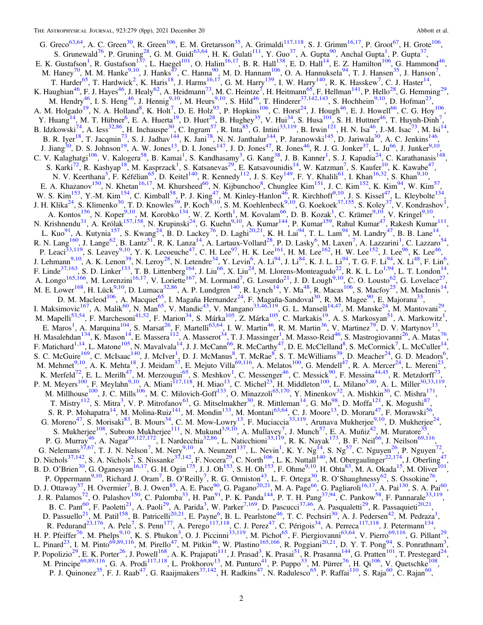G. Greco<sup>63,64</sup>, A. C. Green<sup>30</sup>, R. Green<sup>106</sup>, E. M. Gretarsson<sup>35</sup>, A. Grimaldi<sup>117,118</sup>, S. J. Grimm<sup>16,17</sup>, P. Groot<sup>67</sup>, H. Grote<sup>106</sup>, G. Greeo<sup>63,64</sup>, A. C. Green<sup>30</sup>, R. Green<sup>106</sup>, E. M. Gretarsson<sup>35</sup>, A. Grimaldi<sup>117</sup>, 118, S. J. Grimm<sup>16,17</sup>, P. Groot<sup>67</sup>, H. Grote<sup>106</sup>,<br>
S. Grunewald<sup>76</sup>, P. Gruning<sup>3</sup>, G. M. Guidi<sup>33,64</sup>, H. K. Gulati<sup>111</sup>, Y. Gu J. Jiang<sup>30</sup>, D. S. Johnson<sup>19</sup>, A. W. Jones<sup>13</sup>, D. I. Jones<sup>147</sup>, J. D. Jones<sup>46</sup>, R. Jones<sup>46</sup>, R. J. G. Jonker<sup>37</sup>, L. Ju<sup>66</sup>, J. Junker<sup>9,10</sup> C. V. Kalaghatgi<sup>106</sup>, V. Kalogera<sup>58</sup>, B. Kamai<sup>1</sup>, S. Kandhasamy<sup>3</sup>, G. Kang<sup>38</sup>, J. B. Kanner<sup>1</sup>, S. J. Kapadia<sup>24</sup>, C. Karathanasis<sup>148</sup>, S. Karathanasis<sup>148</sup>, S. Karathanasis<sup>148</sup>, S. Karathanasis<sup>148</sup>, S. Karathanasi N. V. Keerthana<sup>3</sup>, F. Kéfélian<sup>65</sup>, D. Keitel<sup>140</sup>, R. Kennedy<sup>112</sup>, J. S. Key<sup>149</sup>, F. Y. Khalili<sup>61</sup>, I. Khan<sup>16,32</sup>, S. Khan<sup>9,10</sup>, E. A. Khazanov<sup>150</sup>, N. Khetan<sup>16,17</sup>, M. Khursheed<sup>60</sup>, N. Kijbunchoo<sup>8</sup>, Chunglee Kim<sup>151</sup>, J. C. Kim<sup>152</sup>, K. Kim<sup>94</sup>, W. Kim<sup>57</sup>, E. A. Knazanov<sup>107</sup>, N. Knetan<sup>1637</sup>, N. Knursheed<sup>ov</sup>, N. Kijbunchoo<sup>v</sup>, Chunglee Kim<sup>224</sup>, J. C. Kim<sup>222</sup>, K. Kim<sup>27</sup>, W. Kim<sup>27</sup>, W. Kim<sup>27</sup>, W. Kim<sup>27</sup>, W. Kim<sup>27</sup>, W. Kim<sup>27</sup>, W. Kim<sup>253</sup>, Y.-M. Kim<sup>154</sup>, C. Kimball<sup></sup> P. Leaci<sup>33,119</sup>, S. Leavey<sup>9,10</sup>, Y. K. Lecoeuche<sup>47</sup>, C. H. Lee<sup>97</sup>, H. K. Lee<sup>161</sup>, H. M. Lee<sup>162</sup>, H. W. Lee<sup>152</sup>, J. Lee<sup>96</sup>, K. Lee<sup>46</sup>, P. Leaci<sup>23,115</sup>, S. Leavey<sup>313</sup>, Y. K. Lecoeuche<sup>17</sup>, C. H. Lee<sup>27</sup>, H. K. Lee<sup>26</sup>, H. M. Lee<sup>26</sup>, H. W. Lee<sup>26</sup>, K. Lee<sup>26</sup>, K. Lee<sup>26</sup>, K. Lee<sup>26</sup>, K. Lee<sup>26</sup>, K. Lee<sup>26</sup>, K. Lee<sup>26</sup>, K. Lee<sup>26</sup>, K. Lee<sup>26</sup>, K. Lee<sup>26</sup> I. Maksimovic<sup>167</sup>, A. Malik<sup>60</sup>, N. Man<sup>65</sup>, V. Mandic<sup>43</sup>, V. Mangano<sup>33,46,119</sup>, G. L. Mansell<sup>14,47</sup>, M. Manske<sup>24</sup>, M. Mantovani<sup>29</sup> M. Mapelli<sup>53,54</sup>, F. Marchesoni<sup>41,52</sup>, F. Marion<sup>34</sup>, S. Márka<sup>105</sup>, Z. Márka<sup>105</sup>, C. Markakis<sup>19</sup>, A. S. Markosyan<sup>51</sup>, A. Markowitz<sup>1</sup>, E. Marcos<sup>1</sup>, A. Marquina<sup>104</sup>, S. Marsat<sup>26</sup>, F. Martelli<sup>63,64</sup>, I. W. Martin<sup>46</sup>, R. M. Martin<sup>36</sup>, V. Martinez<sup>79</sup>, D. V. Martynov<sup>13</sup>, H. Masalehdan<sup>134</sup>, K. Mason<sup>14</sup>, E. Massera<sup>112</sup>, A. Masserot<sup>34</sup>, T. J. Massing S. C. McGuire<sup>169</sup>, C. McJsaac<sup>140</sup>, J. McJuer<sup>1</sup>, D. J. McManus<sup>8</sup>, T. McRae<sup>8</sup>, S. T. McWilliams<sup>39</sup>, D. Meacher<sup>24</sup>, G. D. Meadors<sup>6</sup>,<br>M. Mehmet<sup>9410</sup>, A. K. Mehta<sup>18</sup>, J. Mcidam<sup>37</sup>, E. Mejuto Villa<sup>69,116</sup>, A. Melato B. D. O'Brien<sup>30</sup>, G. Oganesyan<sup>16,17</sup>, G. H. Ogin<sup>175</sup>, J. J. Oh<sup>153</sup>, S. H. Oh<sup>153</sup>, F. Ohme<sup>9,10</sup>, H. Ohta<sup>83</sup>, M. A. Okada<sup>15</sup>, M. Oliver<sup>101</sup>, B. D. O Brien , G. Oganesyan , G. H. Ogn , J. J. On , S. H. On , F. Oline , H. Onia , M. A. Okada , M. Onvel<br>
P. Opermann<sup>9,10</sup>, Richard J. Oram<sup>7</sup>, B. O'Reilly<sup>7</sup>, R. G. Ormiston<sup>43</sup>, L. F. Ortega<sup>30</sup>, R. O'Shaughnessy<sup>6</sup> B. C. Pant<sup>60</sup>, F. Paoletti<sup>21</sup>, A. Paoli<sup>29</sup>, A. Parida<sup>3</sup>, W. Parker<sup>7, 169</sup>, D. Pascucci<sup>37,46</sup>, A. Pasqualetti<sup>29</sup>, R. Passaquieti<sup>20,21</sup>,<br>D. Passuello<sup>21</sup>, M. Patil<sup>158</sup>, B. Patricelli<sup>20,21</sup>, E. Payne<sup>6</sup>, B. L. Pear H. P. Pfeiffer<sup>76</sup>, M. Phelps<sup>9,10</sup>, K. S. Phukon<sup>3</sup>, O. J. Piccinni<sup>33,119</sup>, M. Pichot<sup>65</sup>, F. Piergiovani<sup>63,64</sup>, V. Pierro<sup>69,116</sup>, G. Pillant<sup>29</sup>, L. Pinard<sup>23</sup>, I. M. Pinto<sup>69,89,116</sup>, M. Pirello<sup>47</sup>, M. Pitkin<sup>46</sup>, W. Plastino<sup>165,166</sup>, R. Poggiani<sup>20,21</sup>, D. Y. T. Pong<sup>94</sup>, S. Ponrathnam<sup>3</sup>,<br>P. Popolizio<sup>29</sup>, E. K. Porter<sup>26</sup>, J. Powell<sup>168</sup>, A. K. Prajapati<sup>111</sup> P. J. Quinonez<sup>35</sup>, F. J. Raab<sup>47</sup>, G. Raaijmakers<sup>37,142</sup>, H. Radkins<sup>47</sup>, N. Radulesco<sup>65</sup>, P. Raffai<sup>110</sup>, S. Raja<sup>60</sup>, C. Rajan<sup>60</sup>,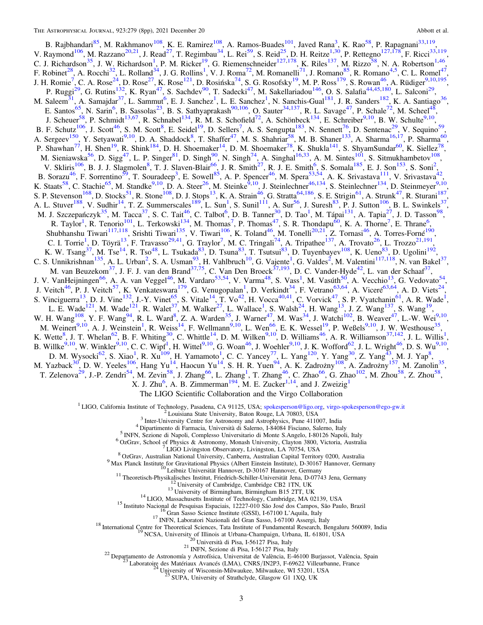<span id="page-3-0"></span>B. Rajbhandari<sup>85</sup>, M. Rakhmanov<sup>108</sup>, K. E. Ramirez<sup>108</sup>, A. Ramos-Buades<sup>101</sup>, Javed Rana<sup>3</sup>, K. Rao<sup>58</sup>, P. Rapagnani<sup>33,119</sup>, V. Raymond<sup>106</sup>, M. Razzano<sup>20,21</sup>, J. Read<sup>27</sup>, T. Regimbau<sup>34</sup>, L. Rei<sup>59</sup>, S. Reid<sup>25</sup>, F. Robinet<sup>28</sup>, A. Rocchi<sup>32</sup>, L. Rolland<sup>34</sup>, J. G. Rollins<sup>1</sup>, V. J. Roman<sup>72</sup>, M. Romanelli<sup>71</sup>, J. Romano<sup>85</sup>, R. Romano<sup>4,5</sup>, C. L. Romel<sup>47</sup>, J. H. Romie<sup>7</sup>, C. A. Rose<sup>24</sup>, D. Rose<sup>27</sup>, K. Rose<sup>121</sup>, D. Rosińska<sup>74</sup> P. Ruggi<sup>-2</sup>, G. Rutins<sup>123</sup>, K. Ryan<sup>77</sup>, S. Sachdev<sup>-90</sup>, T. Sadecki<sup>-47</sup>, M. Sakellariadou<sup>1470</sup>, O. S. Salafia<sup>44443</sup>, L. Salconi<sup>22</sup>,<br>
M. Saleem<sup>51</sup>, A. Samajdar<sup>37</sup>, L. Sammi<sup>6</sup>, E. J. Sanchez<sup>1</sup>, L. E. Sanchez<sup>1</sup>, E. Soutanty 1. Soutanty 1. Soutanty 1. Soutanty 1. South 1. A. F. Spencer 1, M. Spera 1. A. K. Strvastava 1. V. Strvastava<br>
K. Staats<sup>58</sup>, C. Stachie<sup>65</sup>, M. Standke<sup>9,10</sup>, D. A. Steer<sup>26</sup>, M. Steinke<sup>9,10</sup>, J. Steinlechn A. L. Sulver , V. Sulli , I. Z. Sullinescales , L. Sull , S. Sulli , A. Sur , J. Sulesh , P. J. Sulton , B. L. Swinkers<br>
M. J. Szczepańczyk<sup>35</sup>, M. Tacca<sup>37</sup>, S. C. Tait<sup>46</sup>, C. Talbot<sup>6</sup>, D. B. Tanner<sup>30</sup>, D. Tao<sup>1</sup>, M. K. W. Tsang<sup>27</sup>, M. Tse<sup>143</sup>, R. Tso<sup>48</sup>, L. Tsukada<sup>83</sup>, D. Tsuna<sup>83</sup>, T. Tsutsui<sup>83</sup>, D. Tuyenbayev<sup>108</sup>, K. Ueno<sup>83</sup>, D. Ugolini<sup>192</sup>,<br>C. S. Unnikrishnan<sup>135</sup>, A. L. Urban<sup>2</sup>, S. A. Usman<sup>93</sup>, H. Vallbruch<sup>10</sup>, G. Vaje B. Wilke M. Wysocki<sup>62</sup>, S. Xiao<sup>1</sup>, R. Xu<sup>109</sup>, H. Wuter (a. C. C. Yancey<sup>77</sup>, L. Yang<sup>120</sup>, Y. Yang<sup>30</sup>, Z. Yang<sup>43</sup>, M. J. Yap<sup>8</sup>, M. Yazback<sup>30</sup>, D. W. Yeeles<sup>106</sup>, Hang Yu<sup>14</sup>, Haocun Yu<sup>14</sup>, S. H. R. Yuen<sup>94</sup>, A. K.

The LIGO Scientific Collaboration and the Virgo Collaboration

<sup>1</sup> LIGO, California Institute of Technology, Pasadena, CA 91125, USA; spokesperson@ligo.org, virgo-spokesperson@ego-gw.it

<sup>2</sup> Louisiana State University, Baton Rouge, LA 70803, USA

<sup>3</sup> Inter-University Centre for Astronomy and Astrophysics, Pune 411007, India

<sup>4</sup> Dipartimento di Farmacia, Università di Salerno, I-84084 Fisciano, Salerno, Italy

<sup>5</sup> INFN, Sezione di Napoli, Complesso Universitario di Monte S.Angelo, I-80126 Napoli, Italy <sup>6</sup> OzGrav, School of Physics & Astronomy, Monash University, Clayton 3800, Victoria, Australia

LIGO Livingston Observatory, Livingston, LA 70754, USA

<sup>8</sup> OzGrav, Australian National University, Canberra, Australian Capital Territory 0200, Australia

9 Max Planck Institute for Gravitational Physics (Albert Einstein Institute), D-30167 Hannover, Germany<br><sup>10</sup> Leibniz Universität Hannover, D-30167 Hannover, Germany

<sup>11</sup> Theoretisch-Physikalisches Institut, Friedrich-Schiller-Universität Jena, D-07743 Jena, Germany

University of Cambridge, Cambridge CB2 1TN, UK

<sup>13</sup> University of Birmingham, Birmingham B15 2TT, UK

<sup>14</sup> LIGO, Massachusetts Institute of Technology, Cambridge, MA 02139, USA <sup>15</sup> Instituto Nacional de Pesquisas Espaciais, 12227-010 São José dos Campos, São Paulo, Brazil<br><sup>15</sup> Gran Sasso Science Institute (GSSI), I-67100 L'Aquila, Italy

<sup>17</sup> INFN, Laboratori Nazionali del Gran Sasso, I-67100 Assergi, Italy

<sup>18</sup> International Centre for Theoretical Sciences, Tata Institute of Fundamental Research, Bengaluru 560089, India

NCSA, University of Illinois at Urbana-Champaign, Urbana, IL 61801, USA<br>
<sup>20</sup> Università di Pisa, I-56127 Pisa, Italy

<sup>21</sup> INFN, Sezione di Pisa, I-56127 Pisa, Italy

<sup>22</sup> Departamento de Astronomía y Astrofísica, Universitat de València, E-46100 Burjassot, València, Spain

Laboratoire des Matériaux Avancés (LMA), CNRS/IN2P3, F-69622 Villeurbanne, France<br>Laboratoire des Matériaux Avancés (LMA), CNRS/IN2P3, F-69622 Villeurbanne, France<br><sup>24</sup> University of Wisconsin-Milwaukee, Milwaukee, WI 5320

SUPA, University of Strathclyde, Glasgow G1 1XO, UK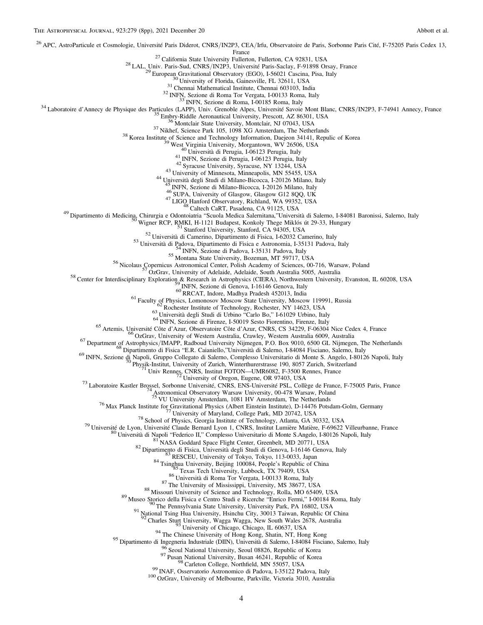<span id="page-4-0"></span><sup>26</sup> APC, AstroParticule et Cosmologie, Université Paris Diderot, CNRS/IN2P3, CEA/Irfu, Observatoire de Paris, Sorbonne Paris Cité, F-75205 Paris Cedex 13,<br>France

<sup>27</sup> California State University Fulneron, Fullerton, CA 92831, USA<br>
<sup>27</sup> California State University Fullerton, Fullerton, CA 92831, USA<br>
<sup>29</sup> European Gravitational Observatory (EGO), 1-56021 Cascina, Pisa, Italy<br>
<sup>39</sup>

<sup>45</sup> INFN, Sezione di Milano-Bicocca, I-20126 Milano, Italy <sup>46</sup> SUPA, University of Glasgow, Glasgow G12 8QQ, UK <sup>47</sup> LIGO Hanford Observatory, Richland, WA 99352, USA <sup>48</sup> Caltech CaRT, Pasadena, CA 91125, USA <sup>49</sup> Dipartimento di Medicina, Chirurgia e Odontoiatria "Scuola Medica Salernitana,"Università di Salerno, I-84081 Baronissi, Salerno, Italy <sup>50</sup> Wigner RCP, RMKI, H-1121 Budapest, Konkoly Thege Miklós út 29-33, Hungary <sup>51</sup> Stanford University, Stanford, CA 94305, USA <sup>52</sup> Università di Camerino, Dipartimento di Fisica, I-62032 Camerino, Italy <sup>53</sup> Università di Padova, Dipartimento di Fisica e Astronomia, I-35131 Padova, Italy <sup>54</sup> INFN, Sezione di Padova, I-35131 Padova, Italy <sup>55</sup> Montana State University, Bozeman, MT 59717, USA <sup>56</sup> Nicolaus Copernicus Astronomical Center, Polish Academy of Sciences, 00-716, Warsaw, Poland <sup>57</sup> OzGrav, University of Adelaide, Adelaide, South Australia 5005, Australia <sup>58</sup> Center for Interdisciplinary Exploration & Research in Astrophysics (CIERA), Northwestern University, Evanston, IL 60208, USA <sup>59</sup> INFN, Sezione di Genova, I-16146 Genova, Italy <sup>60</sup> RRCAT, Indore, Madhya Pradesh 452013, India <sup>61</sup> Faculty of Physics, Lomonosov Moscow State University, Moscow 119991, Russia <sup>62</sup> Rochester Institute of Technology, Rochester, NY 14623, USA <sup>63</sup> Università degli Studi di Urbino "Carlo Bo," I-61029 Urbino, Italy <sup>64</sup> INFN, Sezione di Firenze, I-50019 Sesto Fiorentino, Firenze, Italy <sup>65</sup> Artemis, Université Côte d'Azur, Observatoire Côte d'Azur, CNRS, CS 34229, F-06304 Nice Cedex 4, France <sup>66</sup> OzGrav, University of Western Australia, Crawley, Western Australia 6009, Australia <sup>67</sup> Department of Astrophysics/IMAPP, Radboud University Nijmegen, P.O. Box 9010, 6500 GL Nijmegen, The Netherlands <sup>68</sup> Dipartimento di Fisica "E.R. Caianiello,"Università di Salerno, I-84084 Fisciano, Salerno, Italy <sup>69</sup> INFN, Sezione di Napoli, Gruppo Collegato di Salerno, Complesso Universitario di Monte S. Angelo, I-80126 Napoli, Italy <sup>70</sup> Physik-Institut, University of Zurich, Winterthurerstrasse 190, 8057 Zurich, Switzerland <sup>71</sup> Univ Rennes, CNRS, Institut FOTON—UMR6082, F-3500 Rennes, France <sup>72</sup> University of Oregon, Eugene, OR 97403, USA <sup>73</sup> Laboratoire Kastler Brossel, Sorbonne Université, CNRS, ENS-Université PSL, Collège de France, F-75005 Paris, France <sup>74</sup> Astronomical Observatory Warsaw University, 00-478 Warsaw, Poland

<sup>91</sup> National Tsing Hua University, Hinchu City, 30013 Taiwan, Republic Of China<br><sup>92</sup> Charles Stury University, Wagga Wagga, New South Wales 2678, Australia<br><sup>93</sup> University of Chicago, Chicago, IL 60637, USA<br><sup>94</sup> The Chine

<sup>74</sup> Astronomical Observatory Warsaw University, 00-478 Warsaw, Poland<br>
<sup>75</sup> VU University Amsterdam, 1081 HV Amsterdam, The Netherlands<br>
<sup>76</sup> VU University of Maylinda Physics (Albert Einstein Institute), D-14476 Potsdam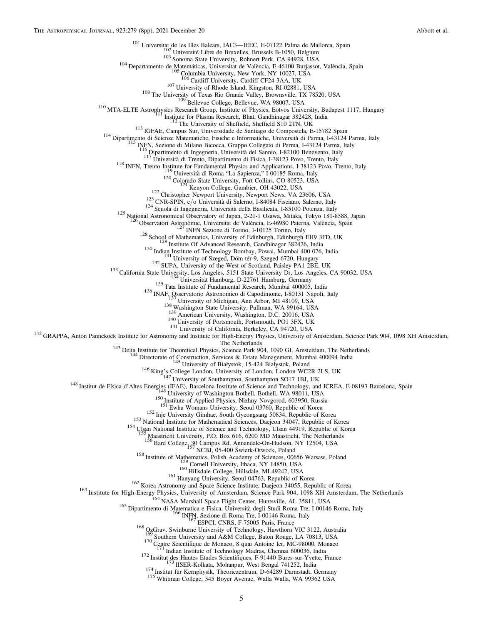<span id="page-5-0"></span><sup>101</sup> Universitat de les Illes Balears, IAC3—IEEC, E-07122 Palma de Mallorca, Spain<br><sup>102</sup> Université Libre de Bruxelles, Brussels B-1050, Belgium<br><sup>103</sup> Sonoma State University, Rohnert Park, CA 94928, USA<br><sup>104</sup> Departamen <sup>107</sup> University of Rhode Island, Kingston, RI 02881, USA<br><sup>108</sup> The University of Texas Rio Grande Valley, Brownsville, TX 78520, USA<br><sup>109</sup> Bellevue College, Bellevue, WA 98007, USA<br><sup>110</sup> MTA-ELTE Astrophysics Research Gro <sup>118</sup> Dipartimento di Ingegneria, Università del Sannio, I-82100 Benevento, Italy<br>
<sup>117</sup> Università di Trento, Dipartimento di Fisica, I-38123 Povo, Trento, Italy<br>
<sup>117</sup> Università di Trento, Dipartimento di Fisica, I-3812 <sup>126</sup> Observatori Astronòmic, Universitat de València, E-46980 Paterna, València, Spain<br>
<sup>128</sup> School of Mathematics, University of Edinburgh, Edinburgh EH9 3FD, UK<br>
<sup>129</sup> Institute Of Advanced Research, Gandhinagar 38242 <sup>142</sup> GRAPPA, Anton Pannekoek Institute for Astronomy and Institute for High-Energy Physics, University of Amsterdam, Science Park 904, 1098 XH Amsterdam,<br>
<sup>143</sup> Delta Institute for Theoretical Physics, Science Park 904, <sup>148</sup> Institut de Física d'Altes Energies (IFAE), Barcelona Institute of Science and Technology, and ICREA, E-08193 Barcelona, Spain<br>
<sup>150</sup> Iniversity of Washington Bothell, Bothell, WA 98011, USA<br>
<sup>150</sup> Institute of Appli <sup>5</sup> Maastricht University, P.O. Box 616, 6200 MD Maastricht, The Netherlands<br><sup>156</sup> Bard College, 30 Campus Rd, Annandale-On-Hudson, NY 12504, USA<br>157 NCBJ, 05-400 Świerk-Otwock, Poland <sup>158</sup> Institute of Mathematics, Polish Academy of Sciences, 00656 Warsaw, Poland<br><sup>159</sup> Cornell University, Ithaca, NY 14850, USA<br><sup>160</sup> Hillsdale College, Hillsdale, M1 49242, USA<br><sup>161</sup> Hanyang University, Seoul 04763, Rep <sup>170</sup> Centre Scientifique de Monaco, 8 quai Antoine Ier, MC-98000, Monaco <sup>171</sup> Indian Institute of Technology Madras, Chennai 600036, India<br><sup>172</sup> Institut des Hautes Etudes Scientifiques, F-91440 Bures-sur-Yvette, France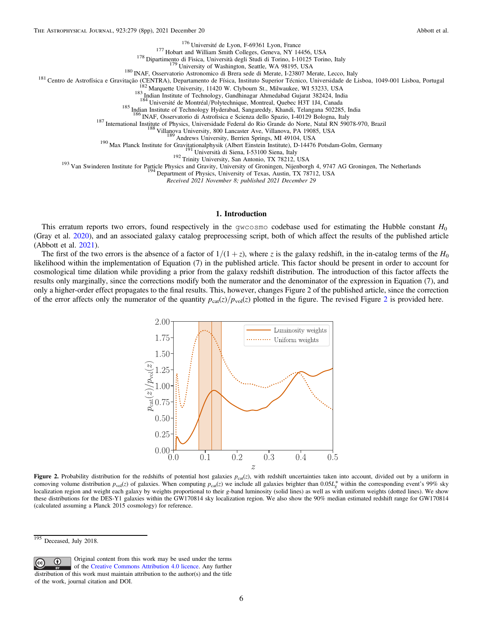<span id="page-6-0"></span><sup>176</sup> Université de Lyon, F-69361 Lyon, France<br><sup>177</sup> Hobart and William Smith Colleges, Geneva, NY 14456, USA<br><sup>178</sup> Dipartimento di Fisica, Università degli Studi di Torino, I-10125 Torino, Italy<br><sup>179</sup> University of Washi

<sup>187</sup> International Institute of Physics, Universidade Federal do Rio Grande do Norte, Natal RN 59078-970, Brazil<br><sup>188</sup> Villanova University, 800 Lancaster Ave, Villanova, PA 19085, USA<br><sup>189</sup> Andrews University, Berrien S

Received 2021 November 8; published 2021 December 29

#### 1. Introduction

This erratum reports two errors, found respectively in the gwcosmo codebase used for estimating the Hubble constant  $H_0$ (Gray et al. [2020](#page-8-0)), and an associated galaxy catalog preprocessing script, both of which affect the results of the published article (Abbott et al. [2021](#page-8-0)).

The first of the two errors is the absence of a factor of  $1/(1+z)$ , where z is the galaxy redshift, in the in-catalog terms of the  $H_0$ likelihood within the implementation of Equation (7) in the published article. This factor should be present in order to account for cosmological time dilation while providing a prior from the galaxy redshift distribution. The introduction of this factor affects the results only marginally, since the corrections modify both the numerator and the denominator of the expression in Equation (7), and only a higher-order effect propagates to the final results. This, however, changes Figure 2 of the published article, since the correction of the error affects only the numerator of the quantity  $p_{cat}(z)/p_{vol}(z)$  plotted in the figure. The revised Figure 2 is provided here.



Figure 2. Probability distribution for the redshifts of potential host galaxies  $p_{\text{cat}}(z)$ , with redshift uncertainties taken into account, divided out by a uniform in comoving volume distribution  $p_{\text{vol}}(z)$  of galaxies. When computing  $p_{\text{cat}}(z)$  we include all galaxies brighter than  $0.05L_g^*$  within the corresponding event's 99% sky localization region and weight each galaxy by weights proportional to their g-band luminosity (solid lines) as well as with uniform weights (dotted lines). We show these distributions for the DES-Y1 galaxies within the GW170814 sky localization region. We also show the 90% median estimated redshift range for GW170814 (calculated assuming a Planck 2015 cosmology) for reference.

Original content from this work may be used under the terms  $\bigcirc$  $|$  (cc) of the [Creative Commons Attribution 4.0 licence.](http://creativecommons.org/licenses/by/4.0/) Any further distribution of this work must maintain attribution to the author(s) and the title of the work, journal citation and DOI.

 $195$  Deceased, July 2018.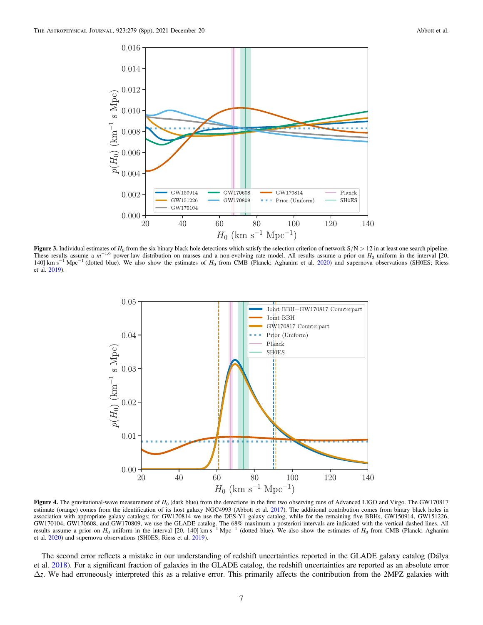<span id="page-7-0"></span>

Figure 3. Individual estimates of  $H_0$  from the six binary black hole detections which satisfy the selection criterion of network  $S/N > 12$  in at least one search pipeline. These results assume a  $m^{-1.6}$  power-law distribution on masses and a non-evolving rate model. All results assume a prior on  $H_0$  uniform in the interval [20, 140] km s<sup>-1</sup> Mpc<sup>-1</sup> (dotted blue). We also show the estimates of  $H_0$  from CMB (Planck; Aghanim et al. [2020](#page-8-0)) and supernova observations (SH0ES; Riess et al. [2019](#page-8-0)).



Figure 4. The gravitational-wave measurement of  $H_0$  (dark blue) from the detections in the first two observing runs of Advanced LIGO and Virgo. The GW170817 estimate (orange) comes from the identification of its host galaxy NGC4993 (Abbott et al. [2017](#page-8-0)). The additional contribution comes from binary black holes in association with appropriate galaxy catalogs; for GW170814 we use the DES-Y1 galaxy catalog, while for the remaining five BBHs, GW150914, GW151226, GW170104, GW170608, and GW170809, we use the GLADE catalog. The 68% maximum a posteriori intervals are indicated with the vertical dashed lines. All results assume a prior on  $H_0$  uniform in the interval [20, 140] km s<sup>-</sup> et al. [2020](#page-8-0)) and supernova observations (SH0ES; Riess et al. [2019](#page-8-0)).

The second error reflects a mistake in our understanding of redshift uncertainties reported in the GLADE galaxy catalog (Dálya et al. [2018](#page-8-0)). For a significant fraction of galaxies in the GLADE catalog, the redshift uncertainties are reported as an absolute error  $\Delta z$ . We had erroneously interpreted this as a relative error. This primarily affects the contribution from the 2MPZ galaxies with